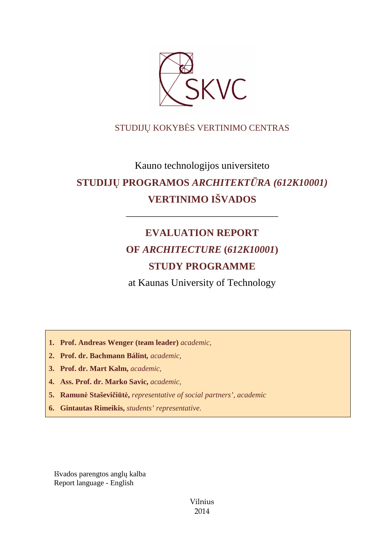

# STUDIJŲ KOKYBĖS VERTINIMO CENTRAS

# Kauno technologijos universiteto **STUDIJŲ PROGRAMOS** *ARCHITEKTŪRA (612K10001)* **VERTINIMO IŠVADOS**

# **EVALUATION REPORT OF** *ARCHITECTURE* **(***612K10001***) STUDY PROGRAMME**

––––––––––––––––––––––––––––––

at Kaunas University of Technology

**1. Prof. Andreas Wenger (team leader)** *academic,*

- **2. Prof. dr. Bachmann Bálint***, academic,*
- **3. Prof. dr. Mart Kalm,** *academic,*
- **4. Ass. Prof. dr. Marko Savic,** *academic,*
- **5. Ramunė Staševičiūtė,** *representative of social partners', academic*
- **6. Gintautas Rimeikis,** *students' representative*.

Išvados parengtos anglų kalba Report language - English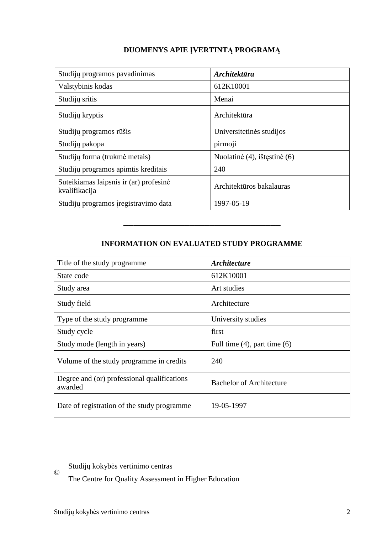## **DUOMENYS APIE ĮVERTINTĄ PROGRAMĄ**

| Studijų programos pavadinimas                           | <i><b>Architektūra</b></i>   |
|---------------------------------------------------------|------------------------------|
| Valstybinis kodas                                       | 612K10001                    |
| Studijų sritis                                          | Menai                        |
| Studijų kryptis                                         | Architektūra                 |
| Studijų programos rūšis                                 | Universitetinės studijos     |
| Studijų pakopa                                          | pirmoji                      |
| Studijų forma (trukmė metais)                           | Nuolatinė (4), ištęstinė (6) |
| Studijų programos apimtis kreditais                     | 240                          |
| Suteikiamas laipsnis ir (ar) profesinė<br>kvalifikacija | Architektūros bakalauras     |
| Studijų programos įregistravimo data                    | 1997-05-19                   |

### **INFORMATION ON EVALUATED STUDY PROGRAMME**

–––––––––––––––––––––––––––––––

| Title of the study programme                           | <i><b>Architecture</b></i>        |
|--------------------------------------------------------|-----------------------------------|
| State code                                             | 612K10001                         |
| Study area                                             | Art studies                       |
| Study field                                            | Architecture                      |
| Type of the study programme                            | University studies                |
| Study cycle                                            | first                             |
| Study mode (length in years)                           | Full time $(4)$ , part time $(6)$ |
| Volume of the study programme in credits               | 240                               |
| Degree and (or) professional qualifications<br>awarded | <b>Bachelor of Architecture</b>   |
| Date of registration of the study programme            | 19-05-1997                        |

Studijų kokybės vertinimo centras

The Centre for Quality Assessment in Higher Education

©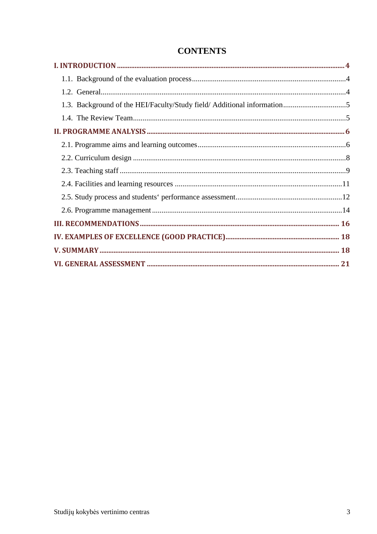# **CONTENTS**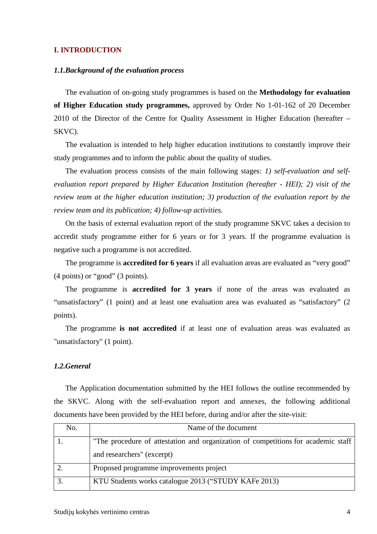#### **I. INTRODUCTION**

#### *1.1.Background of the evaluation process*

The evaluation of on-going study programmes is based on the **Methodology for evaluation of Higher Education study programmes,** approved by Order No 1-01-162 of 20 December 2010 of the Director of the Centre for Quality Assessment in Higher Education (hereafter – SKVC).

The evaluation is intended to help higher education institutions to constantly improve their study programmes and to inform the public about the quality of studies.

The evaluation process consists of the main following stages: *1) self-evaluation and selfevaluation report prepared by Higher Education Institution (hereafter - HEI); 2) visit of the review team at the higher education institution; 3) production of the evaluation report by the review team and its publication; 4) follow-up activities.* 

On the basis of external evaluation report of the study programme SKVC takes a decision to accredit study programme either for 6 years or for 3 years. If the programme evaluation is negative such a programme is not accredited.

The programme is **accredited for 6 years** if all evaluation areas are evaluated as "very good" (4 points) or "good" (3 points).

The programme is **accredited for 3 years** if none of the areas was evaluated as "unsatisfactory" (1 point) and at least one evaluation area was evaluated as "satisfactory" (2 points).

The programme **is not accredited** if at least one of evaluation areas was evaluated as "unsatisfactory" (1 point).

#### *1.2.General*

The Application documentation submitted by the HEI follows the outline recommended by the SKVC. Along with the self-evaluation report and annexes, the following additional documents have been provided by the HEI before, during and/or after the site-visit:

| No. | Name of the document                                                              |  |
|-----|-----------------------------------------------------------------------------------|--|
|     | "The procedure of attestation and organization of competitions for academic staff |  |
|     | and researchers" (excerpt)                                                        |  |
|     | Proposed programme improvements project                                           |  |
|     | KTU Students works catalogue 2013 ("STUDY KAFe 2013)                              |  |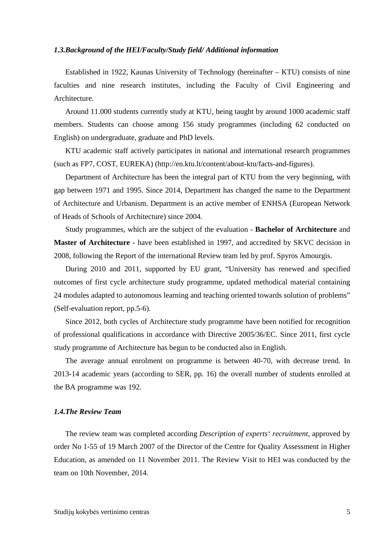#### *1.3.Background of the HEI/Faculty/Study field/ Additional information*

Established in 1922, Kaunas University of Technology (hereinafter – KTU) consists of nine faculties and nine research institutes, including the Faculty of Civil Engineering and Architecture.

Around 11.000 students currently study at KTU, being taught by around 1000 academic staff members. Students can choose among 156 study programmes (including 62 conducted on English) on undergraduate, graduate and PhD levels.

KTU academic staff actively participates in national and international research programmes (such as FP7, COST, EUREKA) (http://en.ktu.lt/content/about-ktu/facts-and-figures).

Department of Architecture has been the integral part of KTU from the very beginning, with gap between 1971 and 1995. Since 2014, Department has changed the name to the Department of Architecture and Urbanism. Department is an active member of ENHSA (European Network of Heads of Schools of Architecture) since 2004.

Study programmes, which are the subject of the evaluation - **Bachelor of Architecture** and **Master of Architecture** - have been established in 1997, and accredited by SKVC decision in 2008, following the Report of the international Review team led by prof. Spyros Amourgis.

During 2010 and 2011, supported by EU grant, "University has renewed and specified outcomes of first cycle architecture study programme, updated methodical material containing 24 modules adapted to autonomous learning and teaching oriented towards solution of problems" (Self-evaluation report, pp.5-6).

Since 2012, both cycles of Architecture study programme have been notified for recognition of professional qualifications in accordance with Directive 2005/36/EC. Since 2011, first cycle study programme of Architecture has begun to be conducted also in English.

The average annual enrolment on programme is between 40-70, with decrease trend. In 2013-14 academic years (according to SER, pp. 16) the overall number of students enrolled at the BA programme was 192.

#### *1.4.The Review Team*

The review team was completed according *Description of experts' recruitment*, approved by order No 1-55 of 19 March 2007 of the Director of the Centre for Quality Assessment in Higher Education, as amended on 11 November 2011. The Review Visit to HEI was conducted by the team on 10th November, 2014.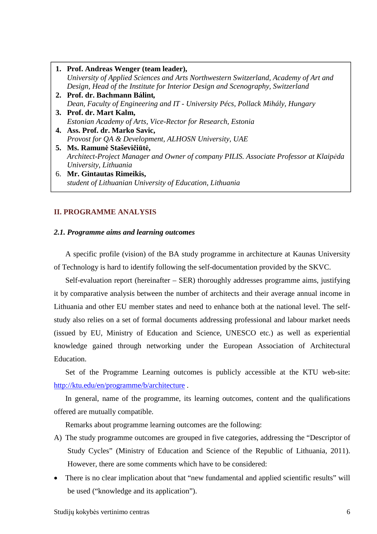| 1. Prof. Andreas Wenger (team leader),                                                |
|---------------------------------------------------------------------------------------|
| University of Applied Sciences and Arts Northwestern Switzerland, Academy of Art and  |
| Design, Head of the Institute for Interior Design and Scenography, Switzerland        |
| 2. Prof. dr. Bachmann Bálint,                                                         |
| Dean, Faculty of Engineering and IT - University Pécs, Pollack Mihály, Hungary        |
| 3. Prof. dr. Mart Kalm,                                                               |
| Estonian Academy of Arts, Vice-Rector for Research, Estonia                           |
| 4. Ass. Prof. dr. Marko Savic,                                                        |
| Provost for QA & Development, ALHOSN University, UAE                                  |
| 5. Ms. Ramunė Staševičiūtė,                                                           |
| Architect-Project Manager and Owner of company PILIS. Associate Professor at Klaipeda |
| University, Lithuania                                                                 |
| 6. Mr. Gintautas Rimeikis,                                                            |
| student of Lithuanian University of Education, Lithuania                              |

#### **II. PROGRAMME ANALYSIS**

#### *2.1. Programme aims and learning outcomes*

A specific profile (vision) of the BA study programme in architecture at Kaunas University of Technology is hard to identify following the self-documentation provided by the SKVC.

Self-evaluation report (hereinafter – SER) thoroughly addresses programme aims, justifying it by comparative analysis between the number of architects and their average annual income in Lithuania and other EU member states and need to enhance both at the national level. The selfstudy also relies on a set of formal documents addressing professional and labour market needs (issued by EU, Ministry of Education and Science, UNESCO etc.) as well as experiential knowledge gained through networking under the European Association of Architectural Education.

Set of the Programme Learning outcomes is publicly accessible at the KTU web-site: http://ktu.edu/en/programme/b/architecture .

In general, name of the programme, its learning outcomes, content and the qualifications offered are mutually compatible.

Remarks about programme learning outcomes are the following:

- A) The study programme outcomes are grouped in five categories, addressing the "Descriptor of Study Cycles" (Ministry of Education and Science of the Republic of Lithuania, 2011). However, there are some comments which have to be considered:
- There is no clear implication about that "new fundamental and applied scientific results" will be used ("knowledge and its application").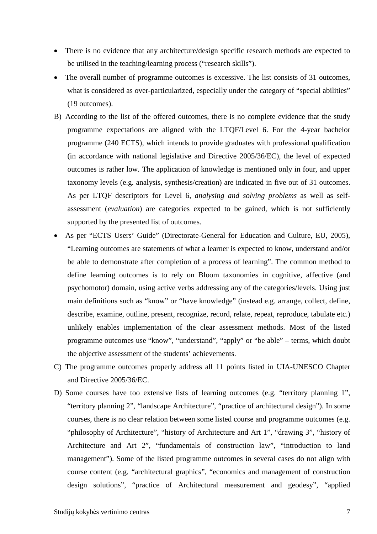- There is no evidence that any architecture/design specific research methods are expected to be utilised in the teaching/learning process ("research skills").
- The overall number of programme outcomes is excessive. The list consists of 31 outcomes, what is considered as over-particularized, especially under the category of "special abilities" (19 outcomes).
- B) According to the list of the offered outcomes, there is no complete evidence that the study programme expectations are aligned with the LTQF/Level 6. For the 4-year bachelor programme (240 ECTS), which intends to provide graduates with professional qualification (in accordance with national legislative and Directive 2005/36/EC), the level of expected outcomes is rather low. The application of knowledge is mentioned only in four, and upper taxonomy levels (e.g. analysis, synthesis/creation) are indicated in five out of 31 outcomes. As per LTQF descriptors for Level 6, *analysing and solving problems* as well as selfassessment (*evaluation*) are categories expected to be gained, which is not sufficiently supported by the presented list of outcomes.
- As per "ECTS Users' Guide" (Directorate-General for Education and Culture, EU, 2005), "Learning outcomes are statements of what a learner is expected to know, understand and/or be able to demonstrate after completion of a process of learning". The common method to define learning outcomes is to rely on Bloom taxonomies in cognitive, affective (and psychomotor) domain, using active verbs addressing any of the categories/levels. Using just main definitions such as "know" or "have knowledge" (instead e.g. arrange, collect, define, describe, examine, outline, present, recognize, record, relate, repeat, reproduce, tabulate etc.) unlikely enables implementation of the clear assessment methods. Most of the listed programme outcomes use "know", "understand", "apply" or "be able" – terms, which doubt the objective assessment of the students' achievements.
- C) The programme outcomes properly address all 11 points listed in UIA-UNESCO Chapter and Directive 2005/36/EC.
- D) Some courses have too extensive lists of learning outcomes (e.g. "territory planning 1", "territory planning 2", "landscape Architecture", "practice of architectural design"). In some courses, there is no clear relation between some listed course and programme outcomes (e.g. "philosophy of Architecture", "history of Architecture and Art 1", "drawing 3", "history of Architecture and Art 2", "fundamentals of construction law", "introduction to land management"). Some of the listed programme outcomes in several cases do not align with course content (e.g. "architectural graphics", "economics and management of construction design solutions", "practice of Architectural measurement and geodesy", "applied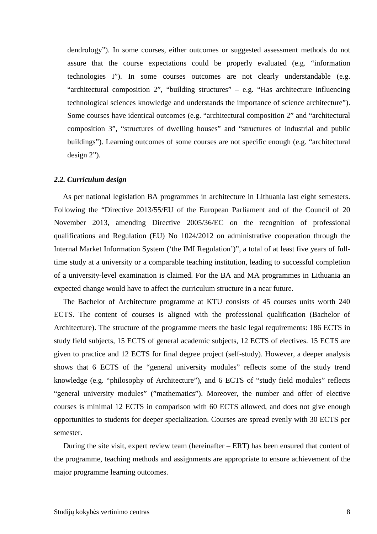dendrology"). In some courses, either outcomes or suggested assessment methods do not assure that the course expectations could be properly evaluated (e.g. "information technologies I"). In some courses outcomes are not clearly understandable (e.g. "architectural composition 2", "building structures" – e.g. "Has architecture influencing technological sciences knowledge and understands the importance of science architecture"). Some courses have identical outcomes (e.g. "architectural composition 2" and "architectural composition 3", "structures of dwelling houses" and "structures of industrial and public buildings"). Learning outcomes of some courses are not specific enough (e.g. "architectural design 2").

#### *2.2. Curriculum design*

As per national legislation BA programmes in architecture in Lithuania last eight semesters. Following the "Directive 2013/55/EU of the European Parliament and of the Council of 20 November 2013, amending Directive 2005/36/EC on the recognition of professional qualifications and Regulation (EU) No 1024/2012 on administrative cooperation through the Internal Market Information System ('the IMI Regulation')", a total of at least five years of fulltime study at a university or a comparable teaching institution, leading to successful completion of a university-level examination is claimed. For the BA and MA programmes in Lithuania an expected change would have to affect the curriculum structure in a near future.

The Bachelor of Architecture programme at KTU consists of 45 courses units worth 240 ECTS. The content of courses is aligned with the professional qualification (Bachelor of Architecture). The structure of the programme meets the basic legal requirements: 186 ECTS in study field subjects, 15 ECTS of general academic subjects, 12 ECTS of electives. 15 ECTS are given to practice and 12 ECTS for final degree project (self-study). However, a deeper analysis shows that 6 ECTS of the "general university modules" reflects some of the study trend knowledge (e.g. "philosophy of Architecture"), and 6 ECTS of "study field modules" reflects "general university modules" ("mathematics"). Moreover, the number and offer of elective courses is minimal 12 ECTS in comparison with 60 ECTS allowed, and does not give enough opportunities to students for deeper specialization. Courses are spread evenly with 30 ECTS per semester.

 During the site visit, expert review team (hereinafter – ERT) has been ensured that content of the programme, teaching methods and assignments are appropriate to ensure achievement of the major programme learning outcomes.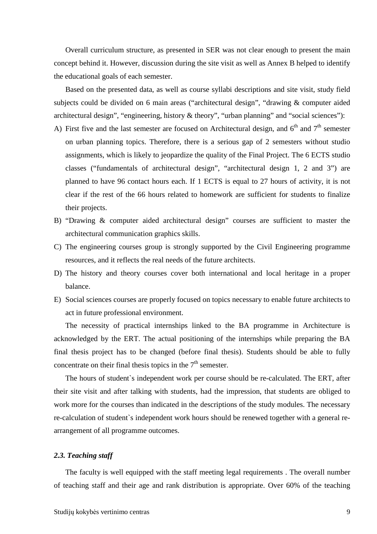Overall curriculum structure, as presented in SER was not clear enough to present the main concept behind it. However, discussion during the site visit as well as Annex B helped to identify the educational goals of each semester.

Based on the presented data, as well as course syllabi descriptions and site visit, study field subjects could be divided on 6 main areas ("architectural design", "drawing & computer aided architectural design", "engineering, history & theory", "urban planning" and "social sciences"):

- A) First five and the last semester are focused on Architectural design, and  $6<sup>th</sup>$  and  $7<sup>th</sup>$  semester on urban planning topics. Therefore, there is a serious gap of 2 semesters without studio assignments, which is likely to jeopardize the quality of the Final Project. The 6 ECTS studio classes ("fundamentals of architectural design", "architectural design 1, 2 and 3") are planned to have 96 contact hours each. If 1 ECTS is equal to 27 hours of activity, it is not clear if the rest of the 66 hours related to homework are sufficient for students to finalize their projects.
- B) "Drawing & computer aided architectural design" courses are sufficient to master the architectural communication graphics skills.
- C) The engineering courses group is strongly supported by the Civil Engineering programme resources, and it reflects the real needs of the future architects.
- D) The history and theory courses cover both international and local heritage in a proper balance.
- E) Social sciences courses are properly focused on topics necessary to enable future architects to act in future professional environment.

The necessity of practical internships linked to the BA programme in Architecture is acknowledged by the ERT. The actual positioning of the internships while preparing the BA final thesis project has to be changed (before final thesis). Students should be able to fully concentrate on their final thesis topics in the  $7<sup>th</sup>$  semester.

The hours of student`s independent work per course should be re-calculated. The ERT, after their site visit and after talking with students, had the impression, that students are obliged to work more for the courses than indicated in the descriptions of the study modules. The necessary re-calculation of student`s independent work hours should be renewed together with a general rearrangement of all programme outcomes.

#### *2.3. Teaching staff*

The faculty is well equipped with the staff meeting legal requirements . The overall number of teaching staff and their age and rank distribution is appropriate. Over 60% of the teaching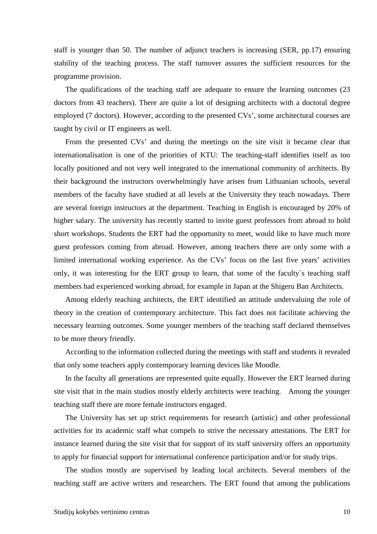staff is younger than 50. The number of adjunct teachers is increasing (SER, pp.17) ensuring stability of the teaching process. The staff turnover assures the sufficient resources for the programme provision.

The qualifications of the teaching staff are adequate to ensure the learning outcomes (23 doctors from 43 teachers). There are quite a lot of designing architects with a doctoral degree employed (7 doctors). However, according to the presented CVs', some architectural courses are taught by civil or IT engineers as well.

From the presented CVs' and during the meetings on the site visit it became clear that internationalisation is one of the priorities of KTU: The teaching-staff identifies itself as too locally positioned and not very well integrated to the international community of architects. By their background the instructors overwhelmingly have arisen from Lithuanian schools, several members of the faculty have studied at all levels at the University they teach nowadays. There are several foreign instructors at the department. Teaching in English is encouraged by 20% of higher salary. The university has recently started to invite guest professors from abroad to hold short workshops. Students the ERT had the opportunity to meet, would like to have much more guest professors coming from abroad. However, among teachers there are only some with a limited international working experience. As the CVs' focus on the last five years' activities only, it was interesting for the ERT group to learn, that some of the faculty`s teaching staff members had experienced working abroad, for example in Japan at the Shigeru Ban Architects.

Among elderly teaching architects, the ERT identified an attitude undervaluing the role of theory in the creation of contemporary architecture. This fact does not facilitate achieving the necessary learning outcomes. Some younger members of the teaching staff declared themselves to be more theory friendly.

According to the information collected during the meetings with staff and students it revealed that only some teachers apply contemporary learning devices like Moodle.

In the faculty all generations are represented quite equally. However the ERT learned during site visit that in the main studios mostly elderly architects were teaching. Among the younger teaching staff there are more female instructors engaged.

The University has set up strict requirements for research (artistic) and other professional activities for its academic staff what compels to strive the necessary attestations. The ERT for instance learned during the site visit that for support of its staff university offers an opportunity to apply for financial support for international conference participation and/or for study trips.

The studios mostly are supervised by leading local architects. Several members of the teaching staff are active writers and researchers. The ERT found that among the publications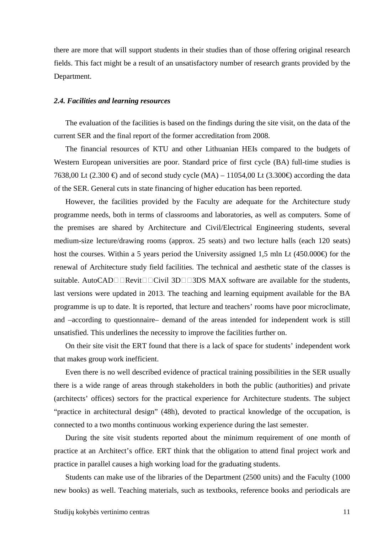there are more that will support students in their studies than of those offering original research fields. This fact might be a result of an unsatisfactory number of research grants provided by the Department.

#### *2.4. Facilities and learning resources*

The evaluation of the facilities is based on the findings during the site visit, on the data of the current SER and the final report of the former accreditation from 2008.

The financial resources of KTU and other Lithuanian HEIs compared to the budgets of Western European universities are poor. Standard price of first cycle (BA) full-time studies is 7638,00 Lt (2.300 €) and of second study cycle (MA) – 11054,00 Lt (3.300 €) according the data of the SER. General cuts in state financing of higher education has been reported.

However, the facilities provided by the Faculty are adequate for the Architecture study programme needs, both in terms of classrooms and laboratories, as well as computers. Some of the premises are shared by Architecture and Civil/Electrical Engineering students, several medium-size lecture/drawing rooms (approx. 25 seats) and two lecture halls (each 120 seats) host the courses. Within a 5 years period the University assigned 1,5 mln Lt (450.000 $\epsilon$ ) for the renewal of Architecture study field facilities. The technical and aesthetic state of the classes is suitable. AutoCAD $\square \square \triangle$ Revit $\square \square \triangle$ Civil 3D $\square \square$ 3DS MAX software are available for the students, last versions were updated in 2013. The teaching and learning equipment available for the BA programme is up to date. It is reported, that lecture and teachers' rooms have poor microclimate, and –according to questionnaire– demand of the areas intended for independent work is still unsatisfied. This underlines the necessity to improve the facilities further on.

On their site visit the ERT found that there is a lack of space for students' independent work that makes group work inefficient.

Even there is no well described evidence of practical training possibilities in the SER usually there is a wide range of areas through stakeholders in both the public (authorities) and private (architects' offices) sectors for the practical experience for Architecture students. The subject "practice in architectural design" (48h), devoted to practical knowledge of the occupation, is connected to a two months continuous working experience during the last semester.

During the site visit students reported about the minimum requirement of one month of practice at an Architect's office. ERT think that the obligation to attend final project work and practice in parallel causes a high working load for the graduating students.

Students can make use of the libraries of the Department (2500 units) and the Faculty (1000 new books) as well. Teaching materials, such as textbooks, reference books and periodicals are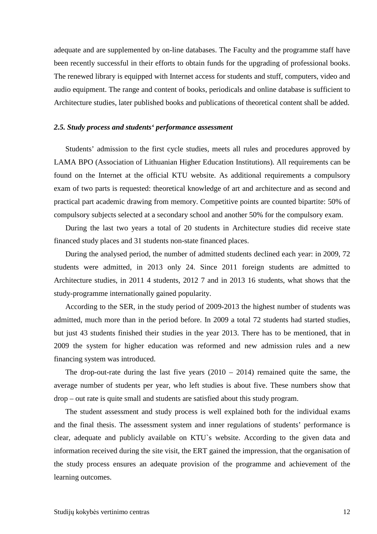adequate and are supplemented by on-line databases. The Faculty and the programme staff have been recently successful in their efforts to obtain funds for the upgrading of professional books. The renewed library is equipped with Internet access for students and stuff, computers, video and audio equipment. The range and content of books, periodicals and online database is sufficient to Architecture studies, later published books and publications of theoretical content shall be added.

#### *2.5. Study process and students' performance assessment*

Students' admission to the first cycle studies, meets all rules and procedures approved by LAMA BPO (Association of Lithuanian Higher Education Institutions). All requirements can be found on the Internet at the official KTU website. As additional requirements a compulsory exam of two parts is requested: theoretical knowledge of art and architecture and as second and practical part academic drawing from memory. Competitive points are counted bipartite: 50% of compulsory subjects selected at a secondary school and another 50% for the compulsory exam.

During the last two years a total of 20 students in Architecture studies did receive state financed study places and 31 students non-state financed places.

During the analysed period, the number of admitted students declined each year: in 2009, 72 students were admitted, in 2013 only 24. Since 2011 foreign students are admitted to Architecture studies, in 2011 4 students, 2012 7 and in 2013 16 students, what shows that the study-programme internationally gained popularity.

According to the SER, in the study period of 2009-2013 the highest number of students was admitted, much more than in the period before. In 2009 a total 72 students had started studies, but just 43 students finished their studies in the year 2013. There has to be mentioned, that in 2009 the system for higher education was reformed and new admission rules and a new financing system was introduced.

The drop-out-rate during the last five years  $(2010 - 2014)$  remained quite the same, the average number of students per year, who left studies is about five. These numbers show that drop – out rate is quite small and students are satisfied about this study program.

The student assessment and study process is well explained both for the individual exams and the final thesis. The assessment system and inner regulations of students' performance is clear, adequate and publicly available on KTU`s website. According to the given data and information received during the site visit, the ERT gained the impression, that the organisation of the study process ensures an adequate provision of the programme and achievement of the learning outcomes.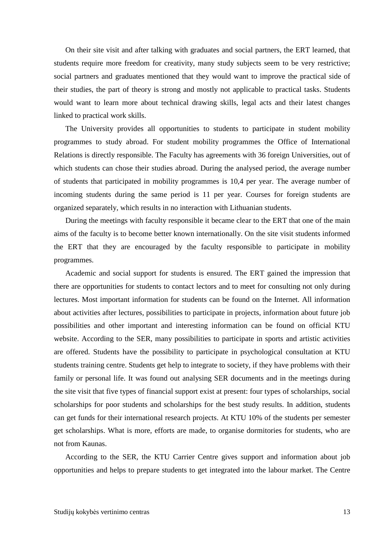On their site visit and after talking with graduates and social partners, the ERT learned, that students require more freedom for creativity, many study subjects seem to be very restrictive; social partners and graduates mentioned that they would want to improve the practical side of their studies, the part of theory is strong and mostly not applicable to practical tasks. Students would want to learn more about technical drawing skills, legal acts and their latest changes linked to practical work skills.

The University provides all opportunities to students to participate in student mobility programmes to study abroad. For student mobility programmes the Office of International Relations is directly responsible. The Faculty has agreements with 36 foreign Universities, out of which students can chose their studies abroad. During the analysed period, the average number of students that participated in mobility programmes is 10,4 per year. The average number of incoming students during the same period is 11 per year. Courses for foreign students are organized separately, which results in no interaction with Lithuanian students.

During the meetings with faculty responsible it became clear to the ERT that one of the main aims of the faculty is to become better known internationally. On the site visit students informed the ERT that they are encouraged by the faculty responsible to participate in mobility programmes.

Academic and social support for students is ensured. The ERT gained the impression that there are opportunities for students to contact lectors and to meet for consulting not only during lectures. Most important information for students can be found on the Internet. All information about activities after lectures, possibilities to participate in projects, information about future job possibilities and other important and interesting information can be found on official KTU website. According to the SER, many possibilities to participate in sports and artistic activities are offered. Students have the possibility to participate in psychological consultation at KTU students training centre. Students get help to integrate to society, if they have problems with their family or personal life. It was found out analysing SER documents and in the meetings during the site visit that five types of financial support exist at present: four types of scholarships, social scholarships for poor students and scholarships for the best study results. In addition, students can get funds for their international research projects. At KTU 10% of the students per semester get scholarships. What is more, efforts are made, to organise dormitories for students, who are not from Kaunas.

According to the SER, the KTU Carrier Centre gives support and information about job opportunities and helps to prepare students to get integrated into the labour market. The Centre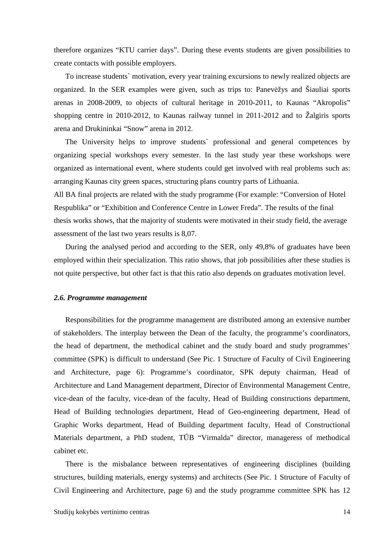therefore organizes "KTU carrier days". During these events students are given possibilities to create contacts with possible employers.

To increase students` motivation, every year training excursions to newly realized objects are organized. In the SER examples were given, such as trips to: Panevėžys and Šiauliai sports arenas in 2008-2009, to objects of cultural heritage in 2010-2011, to Kaunas "Akropolis" shopping centre in 2010-2012, to Kaunas railway tunnel in 2011-2012 and to Žalgiris sports arena and Drukininkai "Snow" arena in 2012.

The University helps to improve students` professional and general competences by organizing special workshops every semester. In the last study year these workshops were organized as international event, where students could get involved with real problems such as: arranging Kaunas city green spaces, structuring plans country parts of Lithuania.

All BA final projects are related with the study programme (For example: "Conversion of Hotel Respublika" or "Exhibition and Conference Centre in Lower Freda". The results of the final thesis works shows, that the majority of students were motivated in their study field, the average assessment of the last two years results is 8,07.

During the analysed period and according to the SER, only 49,8% of graduates have been employed within their specialization. This ratio shows, that job possibilities after these studies is not quite perspective, but other fact is that this ratio also depends on graduates motivation level.

#### *2.6. Programme management*

 Responsibilities for the programme management are distributed among an extensive number of stakeholders. The interplay between the Dean of the faculty, the programme's coordinators, the head of department, the methodical cabinet and the study board and study programmes' committee (SPK) is difficult to understand (See Pic. 1 Structure of Faculty of Civil Engineering and Architecture, page 6): Programme's coordinator, SPK deputy chairman, Head of Architecture and Land Management department, Director of Environmental Management Centre, vice-dean of the faculty, vice-dean of the faculty, Head of Building constructions department, Head of Building technologies department, Head of Geo-engineering department, Head of Graphic Works department, Head of Building department faculty, Head of Constructional Materials department, a PhD student, TŪB "Virmalda" director, manageress of methodical cabinet etc.

There is the misbalance between representatives of engineering disciplines (building structures, building materials, energy systems) and architects (See Pic. 1 Structure of Faculty of Civil Engineering and Architecture, page 6) and the study programme committee SPK has 12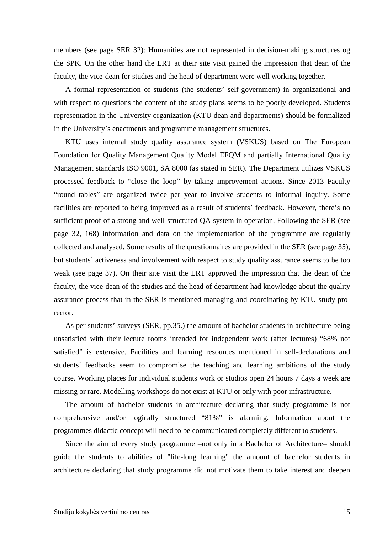members (see page SER 32): Humanities are not represented in decision-making structures og the SPK. On the other hand the ERT at their site visit gained the impression that dean of the faculty, the vice-dean for studies and the head of department were well working together.

A formal representation of students (the students' self-government) in organizational and with respect to questions the content of the study plans seems to be poorly developed. Students representation in the University organization (KTU dean and departments) should be formalized in the University`s enactments and programme management structures.

KTU uses internal study quality assurance system (VSKUS) based on The European Foundation for Quality Management Quality Model EFQM and partially International Quality Management standards ISO 9001, SA 8000 (as stated in SER). The Department utilizes VSKUS processed feedback to "close the loop" by taking improvement actions. Since 2013 Faculty "round tables" are organized twice per year to involve students to informal inquiry. Some facilities are reported to being improved as a result of students' feedback. However, there's no sufficient proof of a strong and well-structured QA system in operation. Following the SER (see page 32, 168) information and data on the implementation of the programme are regularly collected and analysed. Some results of the questionnaires are provided in the SER (see page 35), but students` activeness and involvement with respect to study quality assurance seems to be too weak (see page 37). On their site visit the ERT approved the impression that the dean of the faculty, the vice-dean of the studies and the head of department had knowledge about the quality assurance process that in the SER is mentioned managing and coordinating by KTU study prorector.

As per students' surveys (SER, pp.35.) the amount of bachelor students in architecture being unsatisfied with their lecture rooms intended for independent work (after lectures) "68% not satisfied" is extensive. Facilities and learning resources mentioned in self-declarations and students´ feedbacks seem to compromise the teaching and learning ambitions of the study course. Working places for individual students work or studios open 24 hours 7 days a week are missing or rare. Modelling workshops do not exist at KTU or only with poor infrastructure.

The amount of bachelor students in architecture declaring that study programme is not comprehensive and/or logically structured "81%" is alarming. Information about the programmes didactic concept will need to be communicated completely different to students.

Since the aim of every study programme –not only in a Bachelor of Architecture– should guide the students to abilities of "life-long learning" the amount of bachelor students in architecture declaring that study programme did not motivate them to take interest and deepen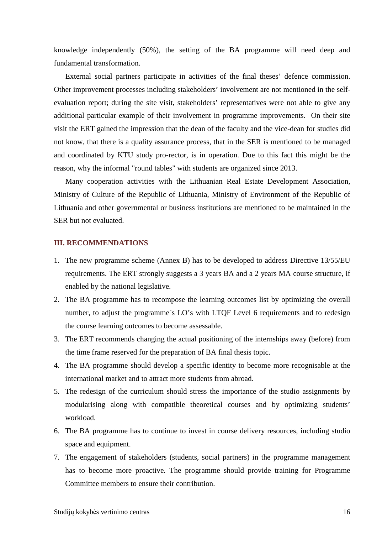knowledge independently (50%), the setting of the BA programme will need deep and fundamental transformation.

External social partners participate in activities of the final theses' defence commission. Other improvement processes including stakeholders' involvement are not mentioned in the selfevaluation report; during the site visit, stakeholders' representatives were not able to give any additional particular example of their involvement in programme improvements. On their site visit the ERT gained the impression that the dean of the faculty and the vice-dean for studies did not know, that there is a quality assurance process, that in the SER is mentioned to be managed and coordinated by KTU study pro-rector, is in operation. Due to this fact this might be the reason, why the informal "round tables" with students are organized since 2013.

Many cooperation activities with the Lithuanian Real Estate Development Association, Ministry of Culture of the Republic of Lithuania, Ministry of Environment of the Republic of Lithuania and other governmental or business institutions are mentioned to be maintained in the SER but not evaluated.

#### **III. RECOMMENDATIONS**

- 1. The new programme scheme (Annex B) has to be developed to address Directive 13/55/EU requirements. The ERT strongly suggests a 3 years BA and a 2 years MA course structure, if enabled by the national legislative.
- 2. The BA programme has to recompose the learning outcomes list by optimizing the overall number, to adjust the programme's LO's with LTQF Level 6 requirements and to redesign the course learning outcomes to become assessable.
- 3. The ERT recommends changing the actual positioning of the internships away (before) from the time frame reserved for the preparation of BA final thesis topic.
- 4. The BA programme should develop a specific identity to become more recognisable at the international market and to attract more students from abroad.
- 5. The redesign of the curriculum should stress the importance of the studio assignments by modularising along with compatible theoretical courses and by optimizing students' workload.
- 6. The BA programme has to continue to invest in course delivery resources, including studio space and equipment.
- 7. The engagement of stakeholders (students, social partners) in the programme management has to become more proactive. The programme should provide training for Programme Committee members to ensure their contribution.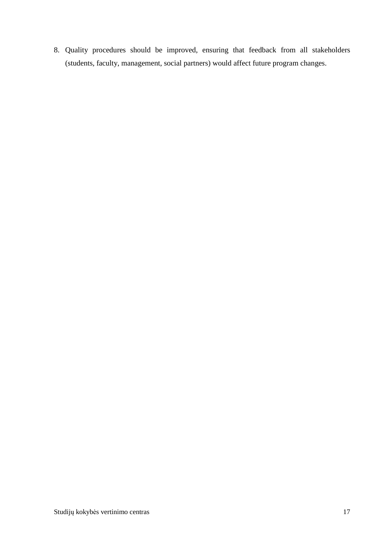8. Quality procedures should be improved, ensuring that feedback from all stakeholders (students, faculty, management, social partners) would affect future program changes.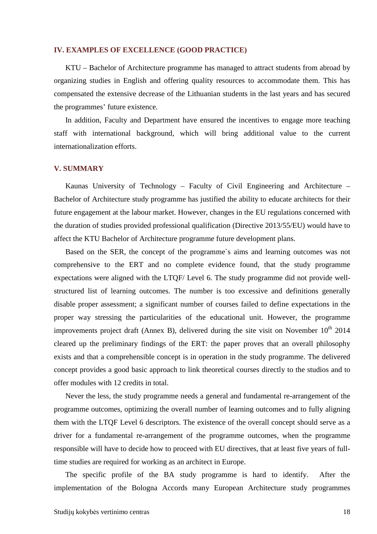#### **IV. EXAMPLES OF EXCELLENCE (GOOD PRACTICE)**

KTU – Bachelor of Architecture programme has managed to attract students from abroad by organizing studies in English and offering quality resources to accommodate them. This has compensated the extensive decrease of the Lithuanian students in the last years and has secured the programmes' future existence.

In addition, Faculty and Department have ensured the incentives to engage more teaching staff with international background, which will bring additional value to the current internationalization efforts.

#### **V. SUMMARY**

Kaunas University of Technology – Faculty of Civil Engineering and Architecture – Bachelor of Architecture study programme has justified the ability to educate architects for their future engagement at the labour market. However, changes in the EU regulations concerned with the duration of studies provided professional qualification (Directive 2013/55/EU) would have to affect the KTU Bachelor of Architecture programme future development plans.

Based on the SER, the concept of the programme`s aims and learning outcomes was not comprehensive to the ERT and no complete evidence found, that the study programme expectations were aligned with the LTQF/ Level 6. The study programme did not provide wellstructured list of learning outcomes. The number is too excessive and definitions generally disable proper assessment; a significant number of courses failed to define expectations in the proper way stressing the particularities of the educational unit. However, the programme improvements project draft (Annex B), delivered during the site visit on November  $10^{th}$  2014 cleared up the preliminary findings of the ERT: the paper proves that an overall philosophy exists and that a comprehensible concept is in operation in the study programme. The delivered concept provides a good basic approach to link theoretical courses directly to the studios and to offer modules with 12 credits in total.

Never the less, the study programme needs a general and fundamental re-arrangement of the programme outcomes, optimizing the overall number of learning outcomes and to fully aligning them with the LTQF Level 6 descriptors. The existence of the overall concept should serve as a driver for a fundamental re-arrangement of the programme outcomes, when the programme responsible will have to decide how to proceed with EU directives, that at least five years of fulltime studies are required for working as an architect in Europe.

The specific profile of the BA study programme is hard to identify. After the implementation of the Bologna Accords many European Architecture study programmes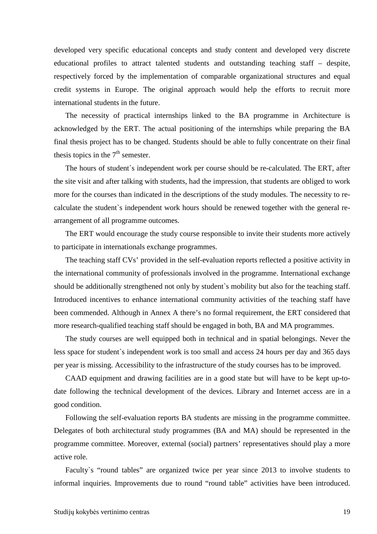developed very specific educational concepts and study content and developed very discrete educational profiles to attract talented students and outstanding teaching staff – despite, respectively forced by the implementation of comparable organizational structures and equal credit systems in Europe. The original approach would help the efforts to recruit more international students in the future.

The necessity of practical internships linked to the BA programme in Architecture is acknowledged by the ERT. The actual positioning of the internships while preparing the BA final thesis project has to be changed. Students should be able to fully concentrate on their final thesis topics in the  $7<sup>th</sup>$  semester.

The hours of student`s independent work per course should be re-calculated. The ERT, after the site visit and after talking with students, had the impression, that students are obliged to work more for the courses than indicated in the descriptions of the study modules. The necessity to recalculate the student`s independent work hours should be renewed together with the general rearrangement of all programme outcomes.

The ERT would encourage the study course responsible to invite their students more actively to participate in internationals exchange programmes.

The teaching staff CVs' provided in the self-evaluation reports reflected a positive activity in the international community of professionals involved in the programme. International exchange should be additionally strengthened not only by student`s mobility but also for the teaching staff. Introduced incentives to enhance international community activities of the teaching staff have been commended. Although in Annex A there's no formal requirement, the ERT considered that more research-qualified teaching staff should be engaged in both, BA and MA programmes.

The study courses are well equipped both in technical and in spatial belongings. Never the less space for student`s independent work is too small and access 24 hours per day and 365 days per year is missing. Accessibility to the infrastructure of the study courses has to be improved.

CAAD equipment and drawing facilities are in a good state but will have to be kept up-todate following the technical development of the devices. Library and Internet access are in a good condition.

Following the self-evaluation reports BA students are missing in the programme committee. Delegates of both architectural study programmes (BA and MA) should be represented in the programme committee. Moreover, external (social) partners' representatives should play a more active role.

Faculty`s "round tables" are organized twice per year since 2013 to involve students to informal inquiries. Improvements due to round "round table" activities have been introduced.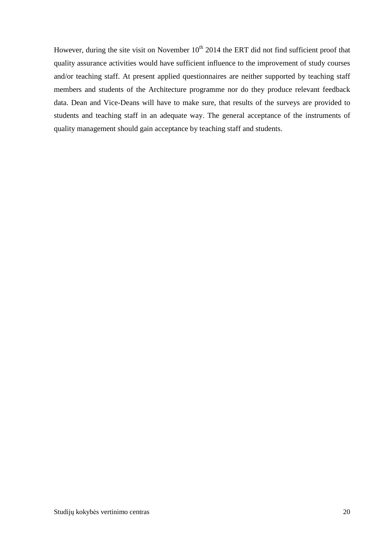However, during the site visit on November  $10^{th}$  2014 the ERT did not find sufficient proof that quality assurance activities would have sufficient influence to the improvement of study courses and/or teaching staff. At present applied questionnaires are neither supported by teaching staff members and students of the Architecture programme nor do they produce relevant feedback data. Dean and Vice-Deans will have to make sure, that results of the surveys are provided to students and teaching staff in an adequate way. The general acceptance of the instruments of quality management should gain acceptance by teaching staff and students.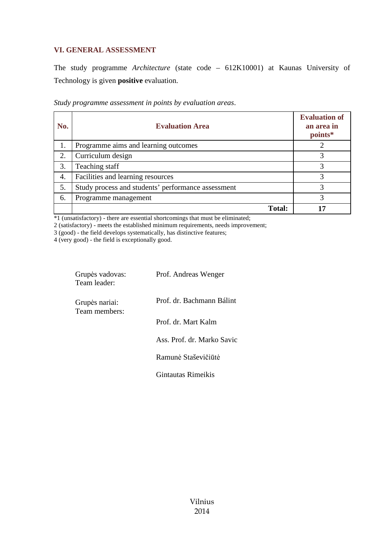### **VI. GENERAL ASSESSMENT**

The study programme *Architecture* (state code – 612K10001) at Kaunas University of Technology is given **positive** evaluation.

| Study programme assessment in points by evaluation areas. |
|-----------------------------------------------------------|
|-----------------------------------------------------------|

| No. | <b>Evaluation Area</b>                             | <b>Evaluation of</b><br>an area in<br>points* |
|-----|----------------------------------------------------|-----------------------------------------------|
| 1.  | Programme aims and learning outcomes               |                                               |
| 2.  | Curriculum design                                  |                                               |
| 3.  | Teaching staff                                     | 3                                             |
| 4.  | Facilities and learning resources                  | 3                                             |
| 5.  | Study process and students' performance assessment |                                               |
| 6.  | Programme management                               | 3                                             |
|     | <b>Total:</b>                                      |                                               |

\*1 (unsatisfactory) - there are essential shortcomings that must be eliminated;

2 (satisfactory) - meets the established minimum requirements, needs improvement;

3 (good) - the field develops systematically, has distinctive features;

4 (very good) - the field is exceptionally good.

| Grupės vadovas:<br>Team leader: | Prof. Andreas Wenger       |
|---------------------------------|----------------------------|
| Grupės nariai:<br>Team members: | Prof. dr. Bachmann Bálint  |
|                                 | Prof. dr. Mart Kalm        |
|                                 | Ass. Prof. dr. Marko Savic |
|                                 | Ramunė Staševičiūtė        |
|                                 | Gintautas Rimeikis         |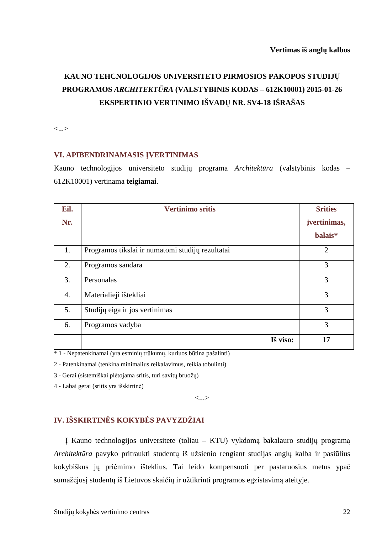# **KAUNO TEHCNOLOGIJOS UNIVERSITETO PIRMOSIOS PAKOPOS STUDIJŲ PROGRAMOS** *ARCHITEKTŪRA* **(VALSTYBINIS KODAS – 612K10001) 2015-01-26 EKSPERTINIO VERTINIMO IŠVADŲ NR. SV4-18 IŠRAŠAS**

<...>

#### **VI. APIBENDRINAMASIS ĮVERTINIMAS**

Kauno technologijos universiteto studijų programa *Architektūra* (valstybinis kodas – 612K10001) vertinama **teigiamai**.

| Eil.             | <b>Vertinimo sritis</b>                          | <b>Srities</b> |
|------------------|--------------------------------------------------|----------------|
| Nr.              |                                                  | jvertinimas,   |
|                  |                                                  | balais*        |
| 1.               | Programos tikslai ir numatomi studijų rezultatai | $\overline{2}$ |
| 2.               | Programos sandara                                | 3              |
| 3.               | Personalas                                       | 3              |
| $\overline{4}$ . | Materialieji ištekliai                           | 3              |
| 5.               | Studijų eiga ir jos vertinimas                   | 3              |
| 6.               | Programos vadyba                                 | 3              |
|                  | Iš viso:                                         | 17             |

\* 1 - Nepatenkinamai (yra esminių trūkumų, kuriuos būtina pašalinti)

2 - Patenkinamai (tenkina minimalius reikalavimus, reikia tobulinti)

3 - Gerai (sistemiškai plėtojama sritis, turi savitų bruožų)

4 - Labai gerai (sritis yra išskirtinė)

<...>

## **IV. IŠSKIRTINĖS KOKYBĖS PAVYZDŽIAI**

Į Kauno technologijos universitete (toliau – KTU) vykdomą bakalauro studijų programą *Architektūra* pavyko pritraukti studentų iš užsienio rengiant studijas anglų kalba ir pasiūlius kokybiškus jų priėmimo išteklius. Tai leido kompensuoti per pastaruosius metus ypač sumažėjusį studentų iš Lietuvos skaičių ir užtikrinti programos egzistavimą ateityje.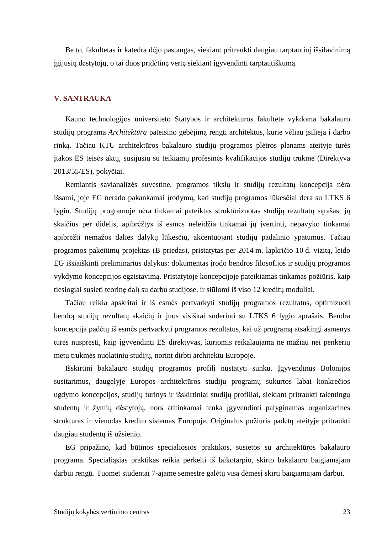Be to, fakultetas ir katedra dėjo pastangas, siekiant pritraukti daugiau tarptautinį išsilavinimą įgijusių dėstytojų, o tai duos pridėtinę vertę siekiant įgyvendinti tarptautiškumą.

#### **V. SANTRAUKA**

Kauno technologijos universiteto Statybos ir architektūros fakultete vykdoma bakalauro studijų programa *Architektūra* pateisino gebėjimą rengti architektus, kurie vėliau įsilieja į darbo rinką. Tačiau KTU architektūros bakalauro studijų programos plėtros planams ateityje turės įtakos ES teisės aktų, susijusių su teikiamų profesinės kvalifikacijos studijų trukme (Direktyva 2013/55/ES), pokyčiai.

Remiantis savianalizės suvestine, programos tikslų ir studijų rezultatų koncepcija nėra išsami, joje EG nerado pakankamai įrodymų, kad studijų programos lūkesčiai dera su LTKS 6 lygiu. Studijų programoje nėra tinkamai pateiktas struktūrizuotas studijų rezultatų sąrašas, jų skaičius per didelis, apibrėžtys iš esmės neleidžia tinkamai jų įvertinti, nepavyko tinkamai apibrėžti nemažos dalies dalykų lūkesčių, akcentuojant studijų padalinio ypatumus. Tačiau programos pakeitimų projektas (B priedas), pristatytas per 2014 m. lapkričio 10 d. vizitą, leido EG išsiaiškinti preliminarius dalykus: dokumentas įrodo bendros filosofijos ir studijų programos vykdymo koncepcijos egzistavimą. Pristatytoje koncepcijoje pateikiamas tinkamas požiūris, kaip tiesiogiai susieti teorinę dalį su darbu studijose, ir siūlomi iš viso 12 kreditų moduliai.

Tačiau reikia apskritai ir iš esmės pertvarkyti studijų programos rezultatus, optimizuoti bendrą studijų rezultatų skaičių ir juos visiškai suderinti su LTKS 6 lygio aprašais. Bendra koncepcija padėtų iš esmės pertvarkyti programos rezultatus, kai už programą atsakingi asmenys turės nuspręsti, kaip įgyvendinti ES direktyvas, kuriomis reikalaujama ne mažiau nei penkerių metų trukmės nuolatinių studijų, norint dirbti architektu Europoje.

Išskirtinį bakalauro studijų programos profilį nustatyti sunku. Įgyvendinus Bolonijos susitarimus, daugelyje Europos architektūros studijų programų sukurtos labai konkrečios ugdymo koncepcijos, studijų turinys ir išskirtiniai studijų profiliai, siekiant pritraukti talentingų studentų ir žymių dėstytojų, nors atitinkamai tenka įgyvendinti palyginamas organizacines struktūras ir vienodas kredito sistemas Europoje. Originalus požiūris padėtų ateityje pritraukti daugiau studentų iš užsienio.

EG pripažino, kad būtinos specialiosios praktikos, susietos su architektūros bakalauro programa. Specialiąsias praktikas reikia perkelti iš laikotarpio, skirto bakalauro baigiamajam darbui rengti. Tuomet studentai 7-ajame semestre galėtų visą dėmesį skirti baigiamajam darbui.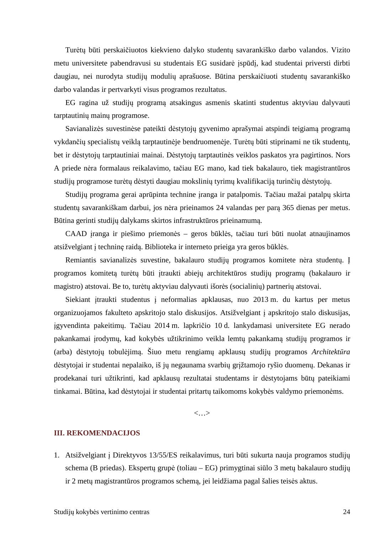Turėtų būti perskaičiuotos kiekvieno dalyko studentų savarankiško darbo valandos. Vizito metu universitete pabendravusi su studentais EG susidarė įspūdį, kad studentai priversti dirbti daugiau, nei nurodyta studijų modulių aprašuose. Būtina perskaičiuoti studentų savarankiško darbo valandas ir pertvarkyti visus programos rezultatus.

EG ragina už studijų programą atsakingus asmenis skatinti studentus aktyviau dalyvauti tarptautinių mainų programose.

Savianalizės suvestinėse pateikti dėstytojų gyvenimo aprašymai atspindi teigiamą programą vykdančių specialistų veiklą tarptautinėje bendruomenėje. Turėtų būti stiprinami ne tik studentų, bet ir dėstytojų tarptautiniai mainai. Dėstytojų tarptautinės veiklos paskatos yra pagirtinos. Nors A priede nėra formalaus reikalavimo, tačiau EG mano, kad tiek bakalauro, tiek magistrantūros studijų programose turėtų dėstyti daugiau mokslinių tyrimų kvalifikaciją turinčių dėstytojų.

Studijų programa gerai aprūpinta technine įranga ir patalpomis. Tačiau mažai patalpų skirta studentų savarankiškam darbui, jos nėra prieinamos 24 valandas per parą 365 dienas per metus. Būtina gerinti studijų dalykams skirtos infrastruktūros prieinamumą.

CAAD įranga ir piešimo priemonės – geros būklės, tačiau turi būti nuolat atnaujinamos atsižvelgiant į techninę raidą. Biblioteka ir interneto prieiga yra geros būklės.

Remiantis savianalizės suvestine, bakalauro studijų programos komitete nėra studentų. Į programos komitetą turėtų būti įtraukti abiejų architektūros studijų programų (bakalauro ir magistro) atstovai. Be to, turėtų aktyviau dalyvauti išorės (socialinių) partnerių atstovai.

Siekiant įtraukti studentus į neformalias apklausas, nuo 2013 m. du kartus per metus organizuojamos fakulteto apskritojo stalo diskusijos. Atsižvelgiant į apskritojo stalo diskusijas, įgyvendinta pakeitimų. Tačiau 2014 m. lapkričio 10 d. lankydamasi universitete EG nerado pakankamai įrodymų, kad kokybės užtikrinimo veikla lemtų pakankamą studijų programos ir (arba) dėstytojų tobulėjimą. Šiuo metu rengiamų apklausų studijų programos *Architektūra* dėstytojai ir studentai nepalaiko, iš jų negaunama svarbių grįžtamojo ryšio duomenų. Dekanas ir prodekanai turi užtikrinti, kad apklausų rezultatai studentams ir dėstytojams būtų pateikiami tinkamai. Būtina, kad dėstytojai ir studentai pritartų taikomoms kokybės valdymo priemonėms.

<…>

#### **III. REKOMENDACIJOS**

1. Atsižvelgiant į Direktyvos 13/55/ES reikalavimus, turi būti sukurta nauja programos studijų schema (B priedas). Ekspertų grupė (toliau – EG) primygtinai siūlo 3 metų bakalauro studijų ir 2 metų magistrantūros programos schemą, jei leidžiama pagal šalies teisės aktus.